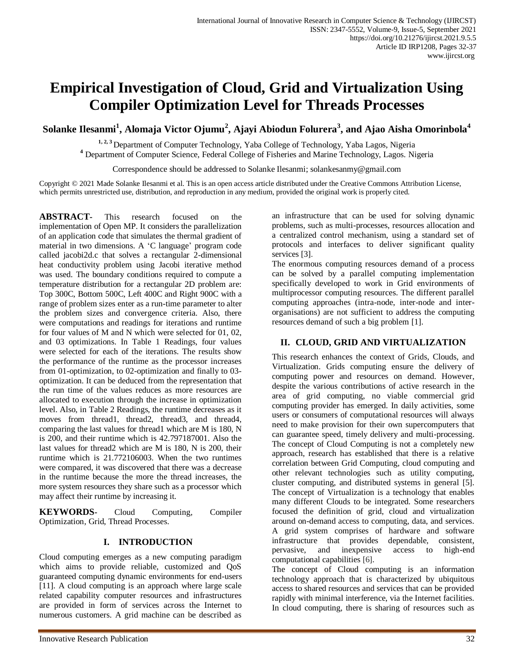# **Empirical Investigation of Cloud, Grid and Virtualization Using Compiler Optimization Level for Threads Processes**

**Solanke Ilesanmi<sup>1</sup> , Alomaja Victor Ojumu<sup>2</sup> , Ajayi Abiodun Folurera<sup>3</sup> , and Ajao Aisha Omorinbola<sup>4</sup>**

**1, 2, 3** Department of Computer Technology, Yaba College of Technology, Yaba Lagos, Nigeria **<sup>4</sup>** Department of Computer Science, Federal College of Fisheries and Marine Technology, Lagos. Nigeria

Correspondence should be addressed to Solanke Ilesanmi[; solankesanmy@gmail.com](mailto:solankesanmy@gmail.com)

Copyright © 2021 Made Solanke Ilesanmi et al. This is an open access article distributed under the Creative Commons Attribution License, which permits unrestricted use, distribution, and reproduction in any medium, provided the original work is properly cited.

**ABSTRACT-** This research focused on the implementation of Open MP. It considers the parallelization of an application code that simulates the thermal gradient of material in two dimensions. A 'C language' program code called jacobi2d.c that solves a rectangular 2-dimensional heat conductivity problem using Jacobi iterative method was used. The boundary conditions required to compute a temperature distribution for a rectangular 2D problem are: Top 300C, Bottom 500C, Left 400C and Right 900C with a range of problem sizes enter as a run-time parameter to alter the problem sizes and convergence criteria. Also, there were computations and readings for iterations and runtime for four values of M and N which were selected for 01, 02, and 03 optimizations. In Table 1 Readings, four values were selected for each of the iterations. The results show the performance of the runtime as the processor increases from 01-optimization, to 02-optimization and finally to 03 optimization. It can be deduced from the representation that the run time of the values reduces as more resources are allocated to execution through the increase in optimization level. Also, in Table 2 Readings, the runtime decreases as it moves from thread1, thread2, thread3, and thread4, comparing the last values for thread1 which are M is 180, N is 200, and their runtime which is 42.797187001. Also the last values for thread2 which are M is 180, N is 200, their runtime which is 21.772106003. When the two runtimes were compared, it was discovered that there was a decrease in the runtime because the more the thread increases, the more system resources they share such as a processor which may affect their runtime by increasing it.

**KEYWORDS-** Cloud Computing, Compiler Optimization, Grid, Thread Processes.

## **I. INTRODUCTION**

Cloud computing emerges as a new computing paradigm which aims to provide reliable, customized and QoS guaranteed computing dynamic environments for end-users [11]. A cloud computing is an approach where large scale related capability computer resources and infrastructures are provided in form of services across the Internet to numerous customers. A grid machine can be described as an infrastructure that can be used for solving dynamic problems, such as multi-processes, resources allocation and a centralized control mechanism, using a standard set of protocols and interfaces to deliver significant quality services [3].

The enormous computing resources demand of a process can be solved by a parallel computing implementation specifically developed to work in Grid environments of multiprocessor computing resources. The different parallel computing approaches (intra-node, inter-node and interorganisations) are not sufficient to address the computing resources demand of such a big problem [1].

## **II. CLOUD, GRID AND VIRTUALIZATION**

This research enhances the context of Grids, Clouds, and Virtualization. Grids computing ensure the delivery of computing power and resources on demand. However, despite the various contributions of active research in the area of grid computing, no viable commercial grid computing provider has emerged. In daily activities, some users or consumers of computational resources will always need to make provision for their own supercomputers that can guarantee speed, timely delivery and multi-processing. The concept of Cloud Computing is not a completely new approach, research has established that there is a relative correlation between Grid Computing, cloud computing and other relevant technologies such as utility computing, cluster computing, and distributed systems in general [5]. The concept of Virtualization is a technology that enables many different Clouds to be integrated. Some researchers focused the definition of grid, cloud and virtualization around on-demand access to computing, data, and services. A grid system comprises of hardware and software infrastructure that provides dependable, consistent, pervasive, and inexpensive access to high-end computational capabilities [6].

The concept of Cloud computing is an information technology approach that is characterized by ubiquitous access to shared resources and services that can be provided rapidly with minimal interference, via the Internet facilities. In cloud computing, there is sharing of resources such as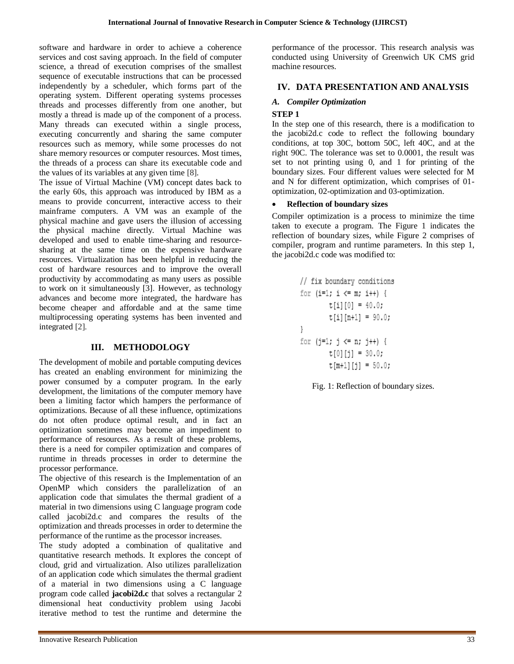software and hardware in order to achieve a coherence services and cost saving approach. In the field of computer science, a thread of execution comprises of the smallest sequence of executable instructions that can be processed independently by a scheduler, which forms part of the operating system. Different operating systems processes threads and processes differently from one another, but mostly a thread is made up of the component of a process. Many threads can executed within a single process, executing concurrently and sharing the same computer resources such as memory, while some processes do not share memory resources or computer resources. Most times, the threads of a process can share its executable code and the values of its variables at any given time [8].

The issue of Virtual Machine (VM) concept dates back to the early 60s, this approach was introduced by IBM as a means to provide concurrent, interactive access to their mainframe computers. A VM was an example of the physical machine and gave users the illusion of accessing the physical machine directly. Virtual Machine was developed and used to enable time-sharing and resourcesharing at the same time on the expensive hardware resources. Virtualization has been helpful in reducing the cost of hardware resources and to improve the overall productivity by accommodating as many users as possible to work on it simultaneously [3]. However, as technology advances and become more integrated, the hardware has become cheaper and affordable and at the same time multiprocessing operating systems has been invented and integrated [2].

### **III. METHODOLOGY**

The development of mobile and portable computing devices has created an enabling environment for minimizing the power consumed by a computer program. In the early development, the limitations of the computer memory have been a limiting factor which hampers the performance of optimizations. Because of all these influence, optimizations do not often produce optimal result, and in fact an optimization sometimes may become an impediment to performance of resources. As a result of these problems, there is a need for compiler optimization and compares of runtime in threads processes in order to determine the processor performance.

The objective of this research is the Implementation of an OpenMP which considers the parallelization of an application code that simulates the thermal gradient of a material in two dimensions using C language program code called jacobi2d.c and compares the results of the optimization and threads processes in order to determine the performance of the runtime as the processor increases.

The study adopted a combination of qualitative and quantitative research methods. It explores the concept of cloud, grid and virtualization. Also utilizes parallelization of an application code which simulates the thermal gradient of a material in two dimensions using a C language program code called **jacobi2d.c** that solves a rectangular 2 dimensional heat conductivity problem using Jacobi iterative method to test the runtime and determine the

performance of the processor. This research analysis was conducted using University of Greenwich UK CMS grid machine resources.

### **IV. DATA PRESENTATION AND ANALYSIS**

## *A. Compiler Optimization*

#### **STEP 1**

In the step one of this research, there is a modification to the jacobi2d.c code to reflect the following boundary conditions, at top 30C, bottom 50C, left 40C, and at the right 90C. The tolerance was set to 0.0001, the result was set to not printing using 0, and 1 for printing of the boundary sizes. Four different values were selected for M and N for different optimization, which comprises of 01 optimization, 02-optimization and 03-optimization.

#### **Reflection of boundary sizes**

Compiler optimization is a process to minimize the time taken to execute a program. The Figure 1 indicates the reflection of boundary sizes, while Figure 2 comprises of compiler, program and runtime parameters. In this step 1, the jacobi2d.c code was modified to:

```
// fix boundary conditions
for (i=1; i \le m; i++) {
        t[i][0] = 40.0;t[i][n+1] = 90.0;}
for (j=1; j \le n; j++) {
        t[0][j] = 30.0;t[m+1][i] = 50.0;
```
Fig. 1: Reflection of boundary sizes.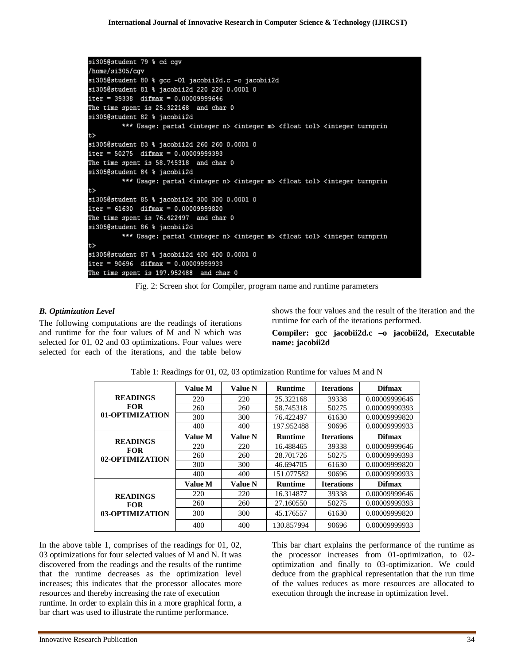```
si305@student 79 % cd cgv
/home/si305/cqv
si305@student 80 % gcc -01 jacobii2d.c -o jacobii2d
si305@student 81 % jacobii2d 220 220 0.0001 0
iter = 39338 difmax = 0.00009999646The time spent is 25.322168 and char 0
si305@student 82 % jacobii2d
         *** Usage: partal <integer n> <integer m> <float tol> <integer turnprin
t>
si305@student 83 % jacobii2d 260 260 0.0001 0
iter = 50275 difmax = 0.00009999393The time spent is 58.745318 and char 0
si305@student 84 % jacobii2d
         *** Usage: partal <integer n> <integer m> <float tol> <integer turnprin
t>
si305@student 85 % jacobii2d 300 300 0.0001 0
iter = 61630 difmax = 0.00009999820The time spent is 76.422497 and char 0
si305@student 86 % jacobii2d
         *** Usage: partal <integer n> <integer m> <float tol> <integer turnprin
t>
si305@student 87 % jacobii2d 400 400 0.0001 0
iter = 90696 difmax = 0.00009999933
The time spent is 197.952488 and char 0
```
Fig. 2: Screen shot for Compiler, program name and runtime parameters

## *B. Optimization Level*

The following computations are the readings of iterations and runtime for the four values of M and N which was selected for 01, 02 and 03 optimizations. Four values were selected for each of the iterations, and the table below shows the four values and the result of the iteration and the runtime for each of the iterations performed.

**Compiler: gcc jacobii2d.c –o jacobii2d, Executable name: jacobii2d**

|                               | Value M        | <b>Value N</b> | <b>Runtime</b> | <b>Iterations</b> | <b>Difmax</b> |
|-------------------------------|----------------|----------------|----------------|-------------------|---------------|
| <b>READINGS</b>               | 220            | 220            | 25.322168      | 39338             | 0.00009999646 |
| <b>FOR</b>                    | 260            | 260            | 58.745318      | 50275             | 0.00009999393 |
| 01-OPTIMIZATION               | 300            | 300            | 76.422497      | 61630             | 0.00009999820 |
|                               | 400            | 400            | 197.952488     | 90696             | 0.00009999933 |
| <b>READINGS</b>               | <b>Value M</b> | <b>Value N</b> | <b>Runtime</b> | <b>Iterations</b> | <b>Difmax</b> |
| <b>FOR</b><br>02-OPTIMIZATION | 220            | 220            | 16.488465      | 39338             | 0.00009999646 |
|                               | 260            | 260            | 28.701726      | 50275             | 0.00009999393 |
|                               | 300            | 300            | 46.694705      | 61630             | 0.00009999820 |
|                               | 400            | 400            | 151.077582     | 90696             | 0.00009999933 |
|                               | <b>Value M</b> | <b>Value N</b> | <b>Runtime</b> | <b>Iterations</b> | <b>Difmax</b> |
| <b>READINGS</b>               | 220            | 220            | 16.314877      | 39338             | 0.00009999646 |
| <b>FOR</b>                    | 260            | 260            | 27.160550      | 50275             | 0.00009999393 |
| 03-OPTIMIZATION               | 300            | 300            | 45.176557      | 61630             | 0.00009999820 |
|                               | 400            | 400            | 130.857994     | 90696             | 0.00009999933 |

Table 1: Readings for 01, 02, 03 optimization Runtime for values M and N

In the above table 1, comprises of the readings for 01, 02, 03 optimizations for four selected values of M and N. It was discovered from the readings and the results of the runtime that the runtime decreases as the optimization level increases; this indicates that the processor allocates more resources and thereby increasing the rate of execution runtime. In order to explain this in a more graphical form, a bar chart was used to illustrate the runtime performance.

This bar chart explains the performance of the runtime as the processor increases from 01-optimization, to 02 optimization and finally to 03-optimization. We could deduce from the graphical representation that the run time of the values reduces as more resources are allocated to execution through the increase in optimization level.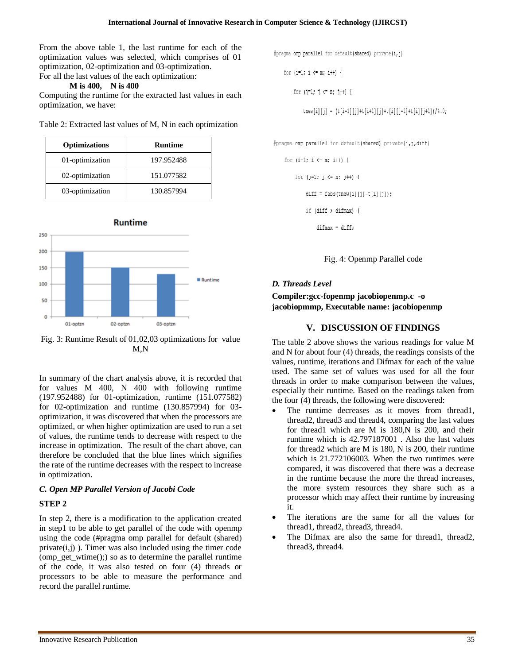From the above table 1, the last runtime for each of the optimization values was selected, which comprises of 01 optimization, 02-optimization and 03-optimization. For all the last values of the each optimization:

#### **M is 400, N is 400**

Computing the runtime for the extracted last values in each optimization, we have:

|  |  |  |  | Table 2: Extracted last values of M, N in each optimization |  |
|--|--|--|--|-------------------------------------------------------------|--|
|  |  |  |  |                                                             |  |

| <b>Optimizations</b> | <b>Runtime</b> |
|----------------------|----------------|
| 01-optimization      | 197.952488     |
| 02-optimization      | 151.077582     |
| 03-optimization      | 130.857994     |



Fig. 3: Runtime Result of 01,02,03 optimizations for value M,N

In summary of the chart analysis above, it is recorded that for values M 400, N 400 with following runtime (197.952488) for 01-optimization, runtime (151.077582) for 02-optimization and runtime (130.857994) for 03 optimization, it was discovered that when the processors are optimized, or when higher optimization are used to run a set of values, the runtime tends to decrease with respect to the increase in optimization. The result of the chart above, can therefore be concluded that the blue lines which signifies the rate of the runtime decreases with the respect to increase in optimization.

## *C. Open MP Parallel Version of Jacobi Code*

### **STEP 2**

In step 2, there is a modification to the application created in step1 to be able to get parallel of the code with openmp using the code (#pragma omp parallel for default (shared)  $private(i,j)$ ). Timer was also included using the timer code (omp\_get\_wtime();) so as to determine the parallel runtime of the code, it was also tested on four (4) threads or processors to be able to measure the performance and record the parallel runtime.

#pragma omp parallel for default (shared) private (i, j)

for  $(i=1; i \le m; i++)$  {

for  $(j=1; j \le n; j++)$  {

tnew[i][j] =  $(t[i-1][j]+t[i+1][j]+t[i][j-1]+t[i][j+1]/4.0;$ 

#pragma omp parallel for default (shared) private (i, j, diff)



if  $(diff > difmax)$  {

 $diffmax = diff;$ 

Fig. 4: Openmp Parallel code

## *D. Threads Level*

**Compiler:gcc-fopenmp jacobiopenmp.c -o jacobiopmmp, Executable name: jacobiopenmp**

## **V. DISCUSSION OF FINDINGS**

The table 2 above shows the various readings for value M and N for about four (4) threads, the readings consists of the values, runtime, iterations and Difmax for each of the value used. The same set of values was used for all the four threads in order to make comparison between the values, especially their runtime. Based on the readings taken from the four (4) threads, the following were discovered:

- The runtime decreases as it moves from thread1, thread2, thread3 and thread4, comparing the last values for thread1 which are M is 180,N is 200, and their runtime which is 42.797187001 . Also the last values for thread2 which are M is 180, N is 200, their runtime which is 21.772106003. When the two runtimes were compared, it was discovered that there was a decrease in the runtime because the more the thread increases, the more system resources they share such as a processor which may affect their runtime by increasing it.
- The iterations are the same for all the values for thread1, thread2, thread3, thread4.
- The Difmax are also the same for thread1, thread2, thread3, thread4.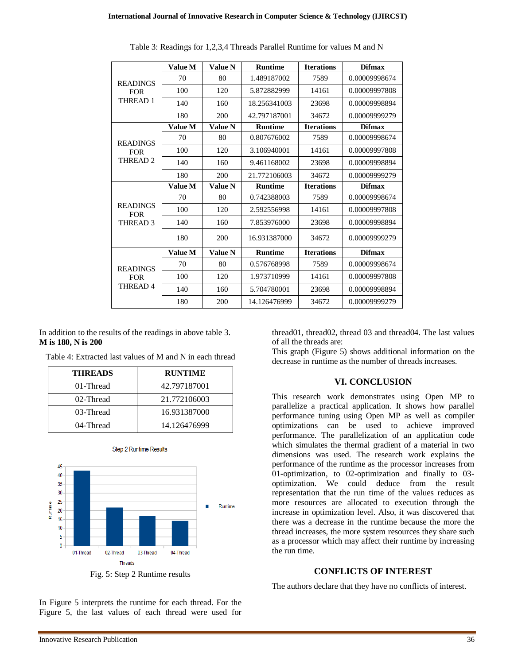|                                                      | <b>Value M</b> | <b>Value N</b> | <b>Runtime</b> | <b>Iterations</b> | <b>Difmax</b> |
|------------------------------------------------------|----------------|----------------|----------------|-------------------|---------------|
| <b>READINGS</b><br><b>FOR</b><br>THREAD 1            | 70             | 80             | 1.489187002    | 7589              | 0.00009998674 |
|                                                      | 100            | 120            | 5.872882999    | 14161             | 0.00009997808 |
|                                                      | 140            | 160            | 18.256341003   | 23698             | 0.00009998894 |
|                                                      | 180            | 200            | 42.797187001   | 34672             | 0.00009999279 |
|                                                      | Value M        | <b>Value N</b> | <b>Runtime</b> | <b>Iterations</b> | <b>Difmax</b> |
| <b>READINGS</b>                                      | 70             | 80             | 0.807676002    | 7589              | 0.00009998674 |
| <b>FOR</b>                                           | 100            | 120            | 3.106940001    | 14161             | 0.00009997808 |
| THREAD <sub>2</sub>                                  | 140            | 160            | 9.461168002    | 23698             | 0.00009998894 |
|                                                      | 180            | 200            | 21.772106003   | 34672             | 0.00009999279 |
|                                                      | Value M        | <b>Value N</b> | <b>Runtime</b> | <b>Iterations</b> | <b>Difmax</b> |
| <b>READINGS</b><br><b>FOR</b><br>THREAD <sub>3</sub> | 70             | 80             | 0.742388003    | 7589              | 0.00009998674 |
|                                                      | 100            | 120            | 2.592556998    | 14161             | 0.00009997808 |
|                                                      | 140            | 160            | 7.853976000    | 23698             | 0.00009998894 |
|                                                      | 180            | 200            | 16.931387000   | 34672             | 0.00009999279 |
|                                                      | <b>Value M</b> | <b>Value N</b> | <b>Runtime</b> | <b>Iterations</b> | <b>Difmax</b> |
| <b>READINGS</b><br><b>FOR</b><br><b>THREAD4</b>      | 70             | 80             | 0.576768998    | 7589              | 0.00009998674 |
|                                                      | 100            | 120            | 1.973710999    | 14161             | 0.00009997808 |
|                                                      | 140            | 160            | 5.704780001    | 23698             | 0.00009998894 |
|                                                      | 180            | 200            | 14.126476999   | 34672             | 0.00009999279 |

Table 3: Readings for 1,2,3,4 Threads Parallel Runtime for values M and N

In addition to the results of the readings in above table 3. **M is 180, N is 200**

Table 4: Extracted last values of M and N in each thread

| <b>THREADS</b> | <b>RUNTIME</b> |
|----------------|----------------|
| 01-Thread      | 42.797187001   |
| 02-Thread      | 21.772106003   |
| 03-Thread      | 16.931387000   |
| 04-Thread      | 14.126476999   |



**Step 2 Runtime Results** 

Fig. 5: Step 2 Runtime results

thread01, thread02, thread 03 and thread04. The last values of all the threads are:

This graph (Figure 5) shows additional information on the decrease in runtime as the number of threads increases.

### **VI. CONCLUSION**

This research work demonstrates using Open MP to parallelize a practical application. It shows how parallel performance tuning using Open MP as well as compiler optimizations can be used to achieve improved performance. The parallelization of an application code which simulates the thermal gradient of a material in two dimensions was used. The research work explains the performance of the runtime as the processor increases from 01-optimization, to 02-optimization and finally to 03 optimization. We could deduce from the result representation that the run time of the values reduces as more resources are allocated to execution through the increase in optimization level. Also, it was discovered that there was a decrease in the runtime because the more the thread increases, the more system resources they share such as a processor which may affect their runtime by increasing the run time.

## **CONFLICTS OF INTEREST**

The authors declare that they have no conflicts of interest.

In Figure 5 interprets the runtime for each thread. For the Figure 5, the last values of each thread were used for